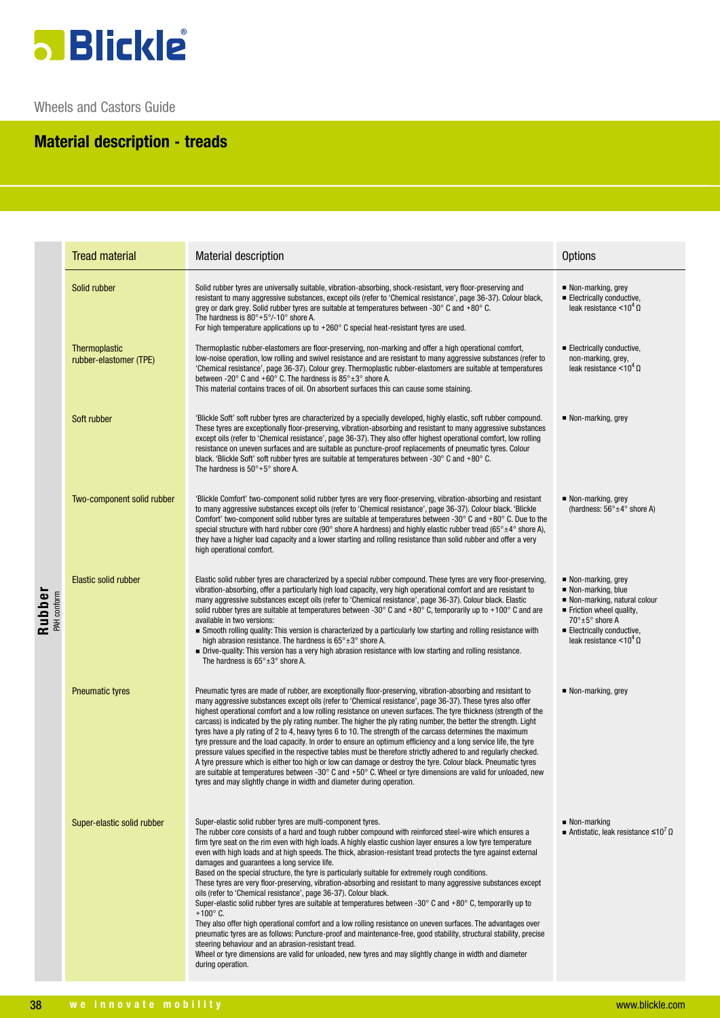

Wheels and Castors Guide

## **Material description - treads**

|                       | <b>Tread material</b>                   | <b>Material description</b>                                                                                                                                                                                                                                                                                                                                                                                                                                                                                                                                                                                                                                                                                                                                                                                                                                                                                                                                                                                                                                                                                                                                                                                                                                                                                                               | <b>Options</b>                                                                                                                                                                                        |
|-----------------------|-----------------------------------------|-------------------------------------------------------------------------------------------------------------------------------------------------------------------------------------------------------------------------------------------------------------------------------------------------------------------------------------------------------------------------------------------------------------------------------------------------------------------------------------------------------------------------------------------------------------------------------------------------------------------------------------------------------------------------------------------------------------------------------------------------------------------------------------------------------------------------------------------------------------------------------------------------------------------------------------------------------------------------------------------------------------------------------------------------------------------------------------------------------------------------------------------------------------------------------------------------------------------------------------------------------------------------------------------------------------------------------------------|-------------------------------------------------------------------------------------------------------------------------------------------------------------------------------------------------------|
| Rubber<br>PAH conform | Solid rubber                            | Solid rubber tyres are universally suitable, vibration-absorbing, shock-resistant, very floor-preserving and<br>resistant to many aggressive substances, except oils (refer to 'Chemical resistance', page 36-37). Colour black,<br>grey or dark grey. Solid rubber tyres are suitable at temperatures between -30 $^{\circ}$ C and +80 $^{\circ}$ C.<br>The hardness is $80^\circ + 5^\circ/10^\circ$ shore A.<br>For high temperature applications up to $+260^\circ$ C special heat-resistant tyres are used.                                                                                                                                                                                                                                                                                                                                                                                                                                                                                                                                                                                                                                                                                                                                                                                                                          | Non-marking, grey<br>Electrically conductive,<br>leak resistance $< 10^4 \Omega$                                                                                                                      |
|                       | Thermoplastic<br>rubber-elastomer (TPE) | Thermoplastic rubber-elastomers are floor-preserving, non-marking and offer a high operational comfort,<br>low-noise operation, low rolling and swivel resistance and are resistant to many aggressive substances (refer to<br>'Chemical resistance', page 36-37). Colour grey. Thermoplastic rubber-elastomers are suitable at temperatures<br>between -20 $^{\circ}$ C and +60 $^{\circ}$ C. The hardness is 85 $^{\circ}$ ±3 $^{\circ}$ shore A.<br>This material contains traces of oil. On absorbent surfaces this can cause some staining.                                                                                                                                                                                                                                                                                                                                                                                                                                                                                                                                                                                                                                                                                                                                                                                          | Electrically conductive,<br>non-marking, grey,<br>leak resistance <10 <sup>4</sup> $\Omega$                                                                                                           |
|                       | Soft rubber                             | 'Blickle Soft' soft rubber tyres are characterized by a specially developed, highly elastic, soft rubber compound.<br>These tyres are exceptionally floor-preserving, vibration-absorbing and resistant to many aggressive substances<br>except oils (refer to 'Chemical resistance', page 36-37). They also offer highest operational comfort, low rolling<br>resistance on uneven surfaces and are suitable as puncture-proof replacements of pneumatic tyres. Colour<br>black. 'Blickle Soft' soft rubber tyres are suitable at temperatures between -30 $^{\circ}$ C and +80 $^{\circ}$ C.<br>The hardness is $50^\circ + 5^\circ$ shore A.                                                                                                                                                                                                                                                                                                                                                                                                                                                                                                                                                                                                                                                                                           | ■ Non-marking, grey                                                                                                                                                                                   |
|                       | Two-component solid rubber              | 'Blickle Comfort' two-component solid rubber tyres are very floor-preserving, vibration-absorbing and resistant<br>to many aggressive substances except oils (refer to 'Chemical resistance', page 36-37). Colour black. 'Blickle<br>Comfort' two-component solid rubber tyres are suitable at temperatures between -30 $^{\circ}$ C and +80 $^{\circ}$ C. Due to the<br>special structure with hard rubber core (90° shore A hardness) and highly elastic rubber tread (65° $\pm$ 4° shore A),<br>they have a higher load capacity and a lower starting and rolling resistance than solid rubber and offer a very<br>high operational comfort.                                                                                                                                                                                                                                                                                                                                                                                                                                                                                                                                                                                                                                                                                           | Non-marking, grey<br>(hardness: $56^{\circ} \pm 4^{\circ}$ shore A)                                                                                                                                   |
|                       | Elastic solid rubber                    | Elastic solid rubber tyres are characterized by a special rubber compound. These tyres are very floor-preserving,<br>vibration-absorbing, offer a particularly high load capacity, very high operational comfort and are resistant to<br>many aggressive substances except oils (refer to 'Chemical resistance', page 36-37). Colour black. Elastic<br>solid rubber tyres are suitable at temperatures between -30 $^{\circ}$ C and +80 $^{\circ}$ C, temporarily up to +100 $^{\circ}$ C and are<br>available in two versions:<br>Smooth rolling quality: This version is characterized by a particularly low starting and rolling resistance with<br>high abrasion resistance. The hardness is $65^{\circ} \pm 3^{\circ}$ shore A.<br>• Drive-quality: This version has a very high abrasion resistance with low starting and rolling resistance.<br>The hardness is $65^\circ \pm 3^\circ$ shore A.                                                                                                                                                                                                                                                                                                                                                                                                                                    | • Non-marking, grey<br>■ Non-marking, blue<br>Non-marking, natural colour<br>Friction wheel quality,<br>$70^\circ \pm 5^\circ$ shore A<br>Electrically conductive,<br>leak resistance $< 10^4 \Omega$ |
|                       | <b>Pneumatic tyres</b>                  | Pneumatic tyres are made of rubber, are exceptionally floor-preserving, vibration-absorbing and resistant to<br>many aggressive substances except oils (refer to 'Chemical resistance', page 36-37). These tyres also offer<br>highest operational comfort and a low rolling resistance on uneven surfaces. The tyre thickness (strength of the<br>carcass) is indicated by the ply rating number. The higher the ply rating number, the better the strength. Light<br>tyres have a ply rating of 2 to 4, heavy tyres 6 to 10. The strength of the carcass determines the maximum<br>tyre pressure and the load capacity. In order to ensure an optimum efficiency and a long service life, the tyre<br>pressure values specified in the respective tables must be therefore strictly adhered to and regularly checked.<br>A tyre pressure which is either too high or low can damage or destroy the tyre. Colour black. Pneumatic tyres<br>are suitable at temperatures between -30 $^{\circ}$ C and +50 $^{\circ}$ C. Wheel or tyre dimensions are valid for unloaded, new<br>tyres and may slightly change in width and diameter during operation.                                                                                                                                                                                     | ■ Non-marking, grey                                                                                                                                                                                   |
|                       | Super-elastic solid rubber              | Super-elastic solid rubber tyres are multi-component tyres.<br>The rubber core consists of a hard and tough rubber compound with reinforced steel-wire which ensures a<br>firm tyre seat on the rim even with high loads. A highly elastic cushion layer ensures a low tyre temperature<br>even with high loads and at high speeds. The thick, abrasion-resistant tread protects the tyre against external<br>damages and guarantees a long service life.<br>Based on the special structure, the tyre is particularly suitable for extremely rough conditions.<br>These tyres are very floor-preserving, vibration-absorbing and resistant to many aggressive substances except<br>oils (refer to 'Chemical resistance', page 36-37). Colour black.<br>Super-elastic solid rubber tyres are suitable at temperatures between -30 $^{\circ}$ C and +80 $^{\circ}$ C, temporarily up to<br>$+100^{\circ}$ C.<br>They also offer high operational comfort and a low rolling resistance on uneven surfaces. The advantages over<br>pneumatic tyres are as follows: Puncture-proof and maintenance-free, good stability, structural stability, precise<br>steering behaviour and an abrasion-resistant tread.<br>Wheel or tyre dimensions are valid for unloaded, new tyres and may slightly change in width and diameter<br>during operation. | $\blacksquare$ Non-marking<br>Antistatic, leak resistance $\leq 10^7 \Omega$                                                                                                                          |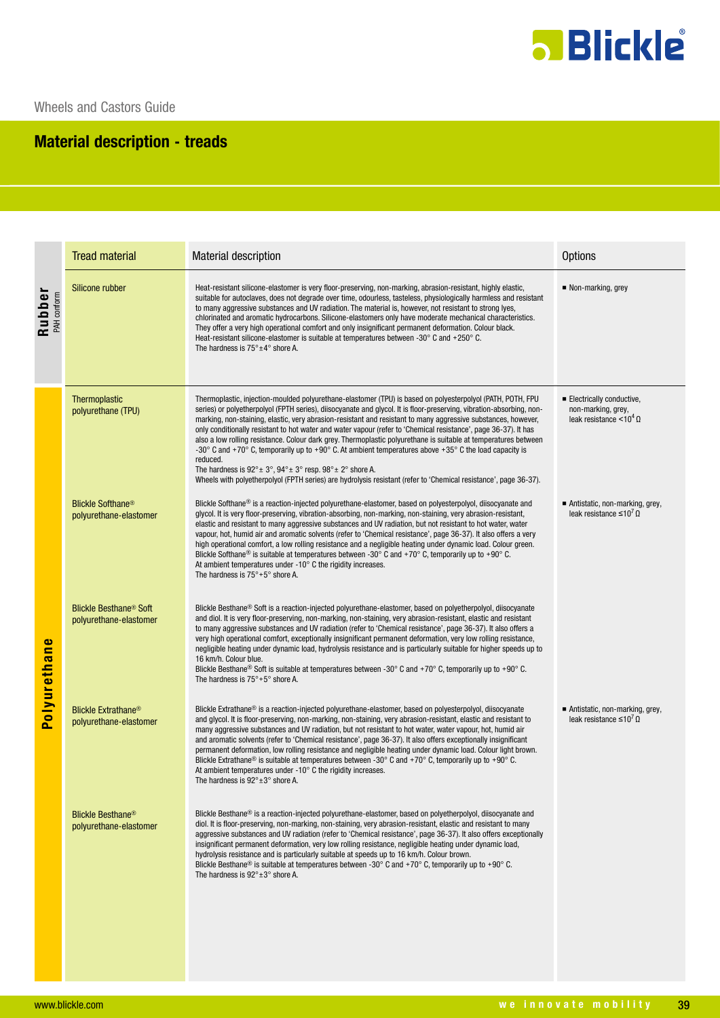

## **Material description - treads**

|                                               | <b>Tread material</b>                                              | <b>Material description</b>                                                                                                                                                                                                                                                                                                                                                                                                                                                                                                                                                                                                                                                                                                                                                                                                                                                                                                                                                                      | <b>Options</b>                                                                    |  |  |
|-----------------------------------------------|--------------------------------------------------------------------|--------------------------------------------------------------------------------------------------------------------------------------------------------------------------------------------------------------------------------------------------------------------------------------------------------------------------------------------------------------------------------------------------------------------------------------------------------------------------------------------------------------------------------------------------------------------------------------------------------------------------------------------------------------------------------------------------------------------------------------------------------------------------------------------------------------------------------------------------------------------------------------------------------------------------------------------------------------------------------------------------|-----------------------------------------------------------------------------------|--|--|
| Rubber<br>PAH conform                         | Silicone rubber                                                    | Heat-resistant silicone-elastomer is very floor-preserving, non-marking, abrasion-resistant, highly elastic,<br>suitable for autoclaves, does not degrade over time, odourless, tasteless, physiologically harmless and resistant<br>to many aggressive substances and UV radiation. The material is, however, not resistant to strong lyes,<br>chlorinated and aromatic hydrocarbons. Silicone-elastomers only have moderate mechanical characteristics.<br>They offer a very high operational comfort and only insignificant permanent deformation. Colour black.<br>Heat-resistant silicone-elastomer is suitable at temperatures between -30° C and +250° C.<br>The hardness is $75^\circ \pm 4^\circ$ shore A.                                                                                                                                                                                                                                                                              | Non-marking, grey                                                                 |  |  |
| $\bullet$<br><b>Polyurethan</b>               | Thermoplastic<br>polyurethane (TPU)                                | Thermoplastic, injection-moulded polyurethane-elastomer (TPU) is based on polyesterpolyol (PATH, POTH, FPU<br>series) or polyetherpolyol (FPTH series), diisocyanate and glycol. It is floor-preserving, vibration-absorbing, non-<br>marking, non-staining, elastic, very abrasion-resistant and resistant to many aggressive substances, however,<br>only conditionally resistant to hot water and water vapour (refer to 'Chemical resistance', page 36-37). It has<br>also a low rolling resistance. Colour dark grey. Thermoplastic polyurethane is suitable at temperatures between<br>-30 $^{\circ}$ C and +70 $^{\circ}$ C, temporarily up to +90 $^{\circ}$ C. At ambient temperatures above +35 $^{\circ}$ C the load capacity is<br>reduced.<br>The hardness is $92^{\circ}$ ± $3^{\circ}$ , $94^{\circ}$ ± $3^{\circ}$ resp. $98^{\circ}$ ± $2^{\circ}$ shore A.<br>Wheels with polyetherpolyol (FPTH series) are hydrolysis resistant (refer to 'Chemical resistance', page 36-37). | Electrically conductive,<br>non-marking, grey,<br>leak resistance $< 10^4 \Omega$ |  |  |
|                                               | <b>Blickle Softhane<sup>®</sup></b><br>polyurethane-elastomer      | Blickle Softhane <sup>®</sup> is a reaction-injected polyurethane-elastomer, based on polyesterpolyol, diisocyanate and<br>glycol. It is very floor-preserving, vibration-absorbing, non-marking, non-staining, very abrasion-resistant,<br>elastic and resistant to many aggressive substances and UV radiation, but not resistant to hot water, water<br>vapour, hot, humid air and aromatic solvents (refer to 'Chemical resistance', page 36-37). It also offers a very<br>high operational comfort, a low rolling resistance and a negligible heating under dynamic load. Colour green.<br>Blickle Softhane <sup>®</sup> is suitable at temperatures between -30 $^{\circ}$ C and +70 $^{\circ}$ C, temporarily up to +90 $^{\circ}$ C.<br>At ambient temperatures under -10° C the rigidity increases.<br>The hardness is $75^\circ + 5^\circ$ shore A.                                                                                                                                    | Antistatic, non-marking, grey,<br>leak resistance $\leq 10'$ $\Omega$             |  |  |
|                                               | <b>Blickle Besthane<sup>®</sup> Soft</b><br>polyurethane-elastomer | Blickle Besthane <sup>®</sup> Soft is a reaction-injected polyurethane-elastomer, based on polyetherpolyol, diisocyanate<br>and diol. It is very floor-preserving, non-marking, non-staining, very abrasion-resistant, elastic and resistant<br>to many aggressive substances and UV radiation (refer to 'Chemical resistance', page 36-37). It also offers a<br>very high operational comfort, exceptionally insignificant permanent deformation, very low rolling resistance,<br>negligible heating under dynamic load, hydrolysis resistance and is particularly suitable for higher speeds up to<br>16 km/h. Colour blue.<br>Blickle Besthane <sup>®</sup> Soft is suitable at temperatures between -30° C and +70° C, temporarily up to +90° C.<br>The hardness is $75^\circ + 5^\circ$ shore A.                                                                                                                                                                                            |                                                                                   |  |  |
|                                               | <b>Blickle Extrathane<sup>®</sup></b><br>polyurethane-elastomer    | Blickle Extrathane <sup>®</sup> is a reaction-injected polyurethane-elastomer, based on polyesterpolyol, diisocyanate<br>and glycol. It is floor-preserving, non-marking, non-staining, very abrasion-resistant, elastic and resistant to<br>many aggressive substances and UV radiation, but not resistant to hot water, water vapour, hot, humid air<br>and aromatic solvents (refer to 'Chemical resistance', page 36-37). It also offers exceptionally insignificant<br>permanent deformation, low rolling resistance and negligible heating under dynamic load. Colour light brown.<br>Blickle Extrathane® is suitable at temperatures between -30° C and +70° C, temporarily up to +90° C.<br>At ambient temperatures under -10° C the rigidity increases.<br>The hardness is $92^{\circ} \pm 3^{\circ}$ shore A.                                                                                                                                                                          | Antistatic, non-marking, grey,<br>leak resistance $\leq 10^7$ Q                   |  |  |
|                                               | <b>Blickle Besthane<sup>®</sup></b><br>polyurethane-elastomer      | Blickle Besthane <sup>®</sup> is a reaction-injected polyurethane-elastomer, based on polyetherpolyol, diisocyanate and<br>diol. It is floor-preserving, non-marking, non-staining, very abrasion-resistant, elastic and resistant to many<br>aggressive substances and UV radiation (refer to 'Chemical resistance', page 36-37). It also offers exceptionally<br>insignificant permanent deformation, very low rolling resistance, negligible heating under dynamic load,<br>hydrolysis resistance and is particularly suitable at speeds up to 16 km/h. Colour brown.<br>Blickle Besthane® is suitable at temperatures between -30° C and +70° C, temporarily up to +90° C.<br>The hardness is $92^{\circ} \pm 3^{\circ}$ shore A.                                                                                                                                                                                                                                                            |                                                                                   |  |  |
|                                               |                                                                    |                                                                                                                                                                                                                                                                                                                                                                                                                                                                                                                                                                                                                                                                                                                                                                                                                                                                                                                                                                                                  |                                                                                   |  |  |
| www.blickle.com<br>we innovate mobility<br>39 |                                                                    |                                                                                                                                                                                                                                                                                                                                                                                                                                                                                                                                                                                                                                                                                                                                                                                                                                                                                                                                                                                                  |                                                                                   |  |  |